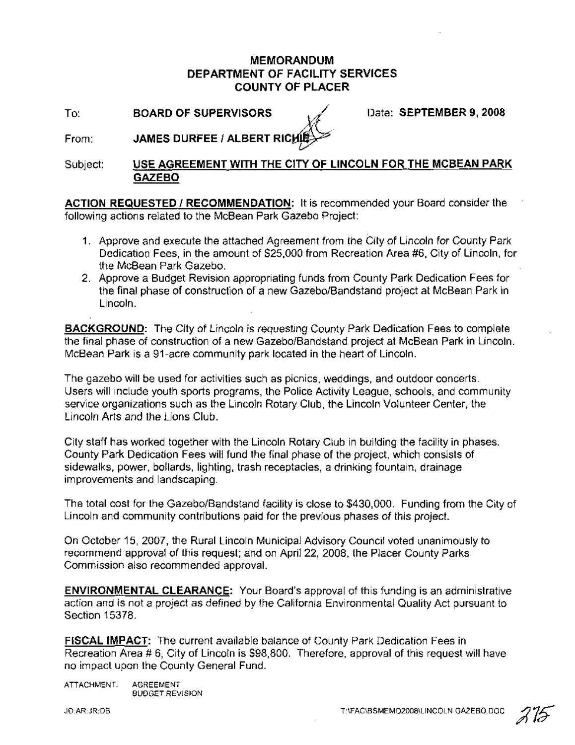# **MEMORANDUM DEPARTMENT OF FACILITY SERVICES COUNTY OF PLACER**

**To:** BOARD OF SUPERVISORS  $\sqrt{}$  Date: SEPTEMBER 9, 2008

From:  $\chi\ll$ **JAMES DURFEE I ALBERT RIC**

Subject: **USE AGREEMENT WITH THE CITY OF LINCOLN FOR THE MCBEAN PARK GAZEBO**

**ACTION REQUESTED I RECOMMENDATION:** It is recommended your Board consider the following actions related to the McBean Park Gazebo Project:

- 1. Approve and execute the attached Agreement from the City of Lincoln for County Park Dedicatioo Fees, in the amount of \$25,000 from Recreation Area #6, City of Lincoln, for the McBean Park Gazebo.
- 2. Approve a Budget Revision appropriating funds from County Park Dedication Fees for the final phase of construction of a new Gazebo/Bandstand project at McBean Park in Lincoln.

**BACKGROUND:** The City of Lincoln is requesting County Park Dedication Fees to complete the final phase of construction of a new Gazebo/Bandstand project at McBean Park in Lincoln. McBean Park is a 91-acre community park located in the heart of Lincoln.

The gazebo will be used for activities such as picnics, weddings, and outdoor concerts. Users will include youth sports programs, the Police Activity League, schools, and community service organizations such as the Lincoln Rotary Club, the Lincoln Volunteer Center, the Lincoln Arts and the Lions Club.

City staff has worked together with the Lincoln Rotary Club in building the facility in phases. County Park Dedication Fees will fund the final phase of the project, which consists of sidewalks, power, bollards, lighting, trash receptacles, a drinking fountain, drainage improvements and landscaping.

The total cost for the Gazebo/Bandstand facility is close to \$430,000. Funding from the City of Lincoln and community contributions paid for the previous phases of this project.

On October 15, 2007, the Rural Lincoln Municipal Advisory Council voted unanimously to recommend approval of this request; and on April 22, 2008, the Placer County Parks Commission also recommended approval.

**ENVIRONMENTAL CLEARANCE:** Your Board's approval of this funding is an administrative action and is not a project as defined by the California Environmental Quality Act pursuant to Section 15378.

**FISCAL IMPACT:** The current available balance of County Park Dedication Fees in Recreation Area # 6, City of Lincoln is \$98,800. Therefore, approval of this request will have no impact upon the County General Fund.

ATTACHMENT: AGREEMENT BUDGET REVISION

JD:AR:JR:DB

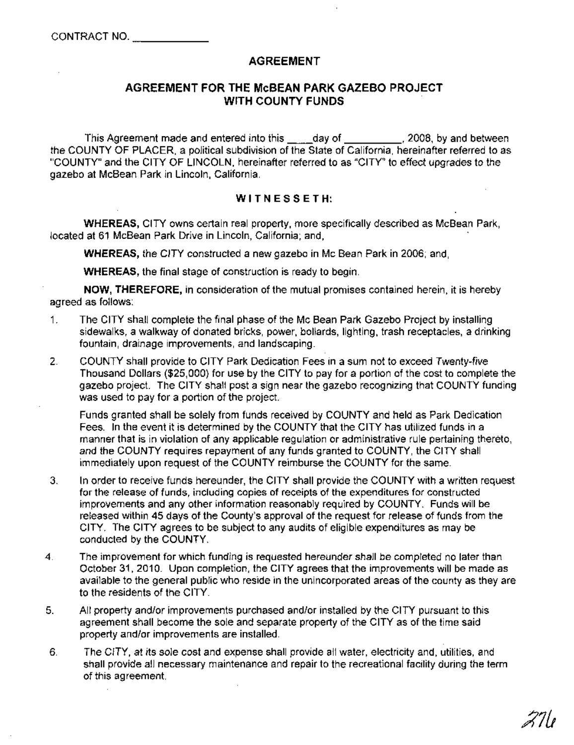## **AGREEMENT**

## **AGREEMENT FOR THE McBEAN PARK GAZEBO PROJECT WITH COUNTY FUNDS**

This Agreement made and entered into this \_\_\_\_day of \_\_\_\_\_\_\_\_\_, 2008, by and between the COUNTY OF PLACER, a political subdivision of the State of California, hereinafter referred to as "COUNTY" and the CITY OF LINCOLN, hereinafter referred to as "CITY" to effect upgrades to the gazebo at McBean Park in Lincoln, California.

### WITNESSETH:

WHEREAS, CITY owns certain real property, more specifically described as McBean Park, located at 61 McBean Park Drive in Lincoln, California; and, .

WHEREAS, the CITY constructed a new gazebo in Mc Bean Park in 2006; and,

WHEREAS, the final stage of construction is ready to begin.

NOW, THEREFORE, in consideration of the mutual promises contained herein, it is hereby agreed as follows:

- 1. The CITY shall complete the final phase of the Mc Bean Park Gazebo Project by installing sidewalks, a walkway of donated bricks, power, bollards, lighting, trash receptacles, a drinking fountain, drainage improvements, and landscaping.
- 2. COUNTY shall provide to CITY Park Dedication Fees in a sum not to exceed Twenty-five Thousand Dollars (\$25,000) for use by the CITY to pay for a portion of the cost to complete the gazebo project. The CITY shall post a sign near the gazebo recognizing that COUNTY funding was used to pay for a portion of the project.

Funds granted shall be solely from funds received by COUNTY and held as Park Dedication Fees. In the event it is determined by the COUNTY that the CITY has utilized funds in a manner that is in violation of any applicable regulation or administrative rule pertaining thereto, and the COUNTY requires repayment of any funds granted to COUNTY, the CITY shall immediately upon request of the COUNTY reimburse the COUNTY for the same.

- 3. In order to receive funds hereunder, the CITY shall provide the COUNTY with a written request for the release of funds, including copies of receipts of the expenditures for constructed improvements and any other information reasonably required by COUNTY. Funds will be released within 45 days of the County's approval of the request for release of funds from the CITY. The CITY agrees to be subject to any audits of eligible expenditures as may be conducted by the COUNTY.
- 4. The improvement for which funding is requested hereunder shall be completed no later than October 31, 2010. Upon completion, the CITY agrees that the improvements will be made as available to the general public who reside in the unincorporated areas of the county as they are to the residents of the CITY.
- 5. All property and/or improvements purchased and/or installed by the CITY pursuant to this agreement shall become the sole and separate property of the CITY as of the time said property and/or improvements are installed.
- 6. The CITY, at its sole cost and expense shall provide all water, electricity and, utilities, and shall provide all necessary maintenance and repair to the recreational facility during the term of this agreement.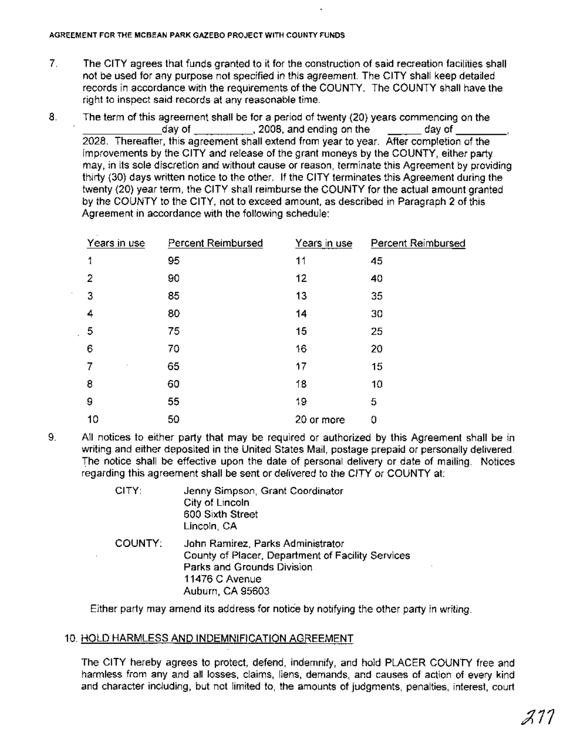- 7. The CITY agrees that funds granted to it for the construction of said recreation facilities shall not be used for any purpose not specified in this agreement. The CITY shall keep detailed records in accordance with the requirements of the COUNTY. The COUNTY shall have the right to inspect said records at any reasonable time.
- 8. The term of this agreement shall be for a period of twenty (20) years commencing on the  $_1$ day of  $_2$ ,  $_3$ ,  $_4$ ,  $_5$ ,  $_6$ ,  $_7$ ,  $_7$ ,  $_7$ ,  $_7$ ,  $_7$ ,  $_7$ ,  $_7$ ,  $_7$ ,  $_7$ ,  $_7$ ,  $_7$ ,  $_7$ ,  $_7$ ,  $_7$ ,  $_7$ ,  $_7$ ,  $_7$ ,  $_7$ ,  $_7$ ,  $_7$ ,  $_7$ ,  $_7$ ,  $_7$ ,  $_7$ ,  $_7$ ,  $_7$ ,  $_7$ ,  $_7$ ,  $_7$ ,  $_7$ , 2028. Thereafter, this agreement shall extend from year to year. After completion of the improvements by the CITY and release of the grant moneys by the COUNTY, either party may, in its sole discretion and without cause or reason, terminate this Agreement by providing thirty (30) days written notice to the other. If the CITY terminates this Agreement during the twenty (20) year term, the CITY shall reimburse the COUNTY for the actual amount granted by the COUNTY to the CITY, not to exceed amount, as described in Paragraph 2 of this Agreement in accordance with the following schedule:

| Years in use | Percent Reimbursed | Years in use | Percent Reimbursed |
|--------------|--------------------|--------------|--------------------|
| 1            | 95                 | 11           | 45                 |
| 2            | 90                 | 12           | 40                 |
| 3            | 85                 | 13           | 35                 |
| 4            | 80                 | 14           | 30                 |
| 5            | 75                 | 15           | 25                 |
| 6            | 70                 | 16           | 20                 |
| 7<br>$\cdot$ | 65                 | 17           | 15                 |
| 8            | 60                 | 18           | 10                 |
| 9            | 55                 | 19           | 5                  |
| 10           | 50                 | 20 or more   | 0                  |

9. All notices to either party that may be required or authorized by this Agreement shall be in writing and either deposited in the United States Mail, postage prepaid or personally delivered. The notice shall be effective upon the date of personal delivery or date of mailing. Notices regarding this agreement shall be sent or delivered to the CITY or COUNTY at:

| CITY:   | Jenny Simpson, Grant Coordinator<br>City of Lincoln<br>600 Sixth Street<br>Lincoln, CA                                                                     |
|---------|------------------------------------------------------------------------------------------------------------------------------------------------------------|
| COUNTY: | John Ramirez, Parks Administrator<br>County of Placer, Department of Facility Services<br>Parks and Grounds Division<br>11476 C Avenue<br>Auburn, CA 95603 |

Either party may amend its address for notice by notifying the other party in writing.

# 10. HOLD HARMLESS AND INDEMNIFICATION AGREEMENT

The CITY hereby agrees to protect, defend, indemnify, and hold PLACER COUNTY free and harmless from any and all losses, claims, liens, demands, and causes of action of every kind and character including, but not limited to, the amounts of judgments, penalties, interest, court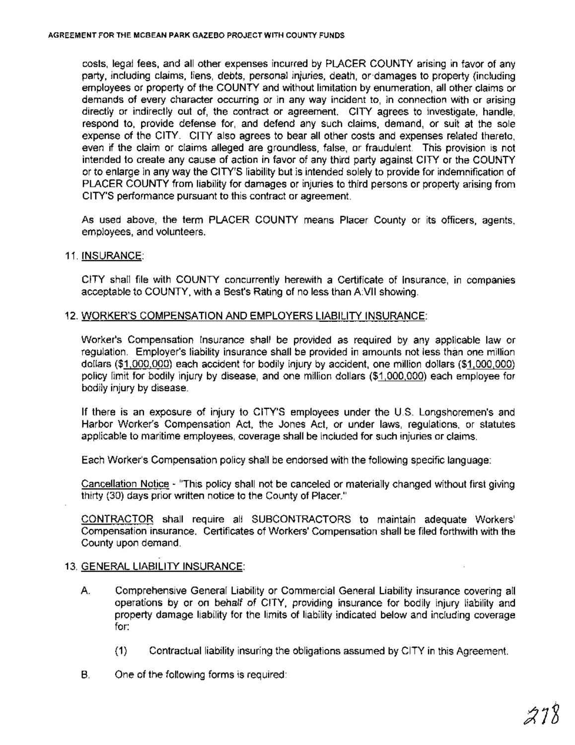costs, legal fees, and all other expenses incurred by PLACER COUNTY arising in favor of any party, including claims, liens, debts, personal injuries, death, or'damages to property (including employees or property of the COUNTY and without limitation by enumeration, all other claims or demands of every character occurring or in any way incident to, in connection with or arising directly or indirectly out of, the contract or agreement. CITY agrees to investigate, handle, respond to, provide defense for, and defend any such claims, demand, or suit at the sole expense of the CITY. CITY also agrees to bear all other costs and expenses related thereto, even if the claim or claims alleged are groundless, false, or fraudulent. This provision is not intended to create any cause of action in favor of any third party against CITY or the COUNTY or to enlarge in any way the CITY'S liability but is intended solely to provide for indemnification of PLACER COUNTY from liability for damages or injuries to third persons or property arising from CITY'S performance pursuant to this contract or agreement.

As used above, the term PLACER COUNTY means Placer County or its officers, agents, employees, and volunteers.

### 11. INSURANCE:

CITY shall file with COUNTY concurrently herewith a Certificate of Insurance, in companies acceptable to COUNTY, with a Best's Rating of no less than A.VII showing.

#### 12. WORKER'S COMPENSATION AND EMPLOYERS LIABILITY INSURANCE:

Worker's Compensation Insurance shall be provided as required by any applicable law or regulation. Employer's liability insurance shall be provided in amounts not less than one million dollars (\$1,000,000) each accident for bodily injury by accident, one million dollars (\$1,000,000) policy limit for bodily injury by disease, and one million dollars (\$1,000,000) each employee for bodily injury by disease.

If there is an exposure of injury to CITY'S employees under the U.S. Longshoremen's and Harbor Worker's Compensation Act, the Jones Act, or under laws, regulations, or statutes applicable to maritime employees, coverage shall be included for such injuries or claims.

Each Worker's Compensation policy shall be endorsed with the following specific language:

Cancellation Notice - "This policy shall not be canceled or materially changed without first giving thirty (30) days prior written notice to the County of Placer."

CONTRACTOR shall require all SUBCONTRACTORS to maintain adequate Workers' Compensation insurance. Certificates of Workers' Compensation shall be filed forthwith with the County upon demand.

## 13. GENERAL LIABILITY INSURANCE:

- A. Comprehensive General Liability or Commercial General Liability insurance covering all operations by or on behalf of CITY, providing insurance for bodily injury liability and property damage liability for the limits of liability indicated below and including coverage for:
	- (1) Contractual liability insuring the obligations assumed by CITY in this Agreement.
- B. One of the following forms is required: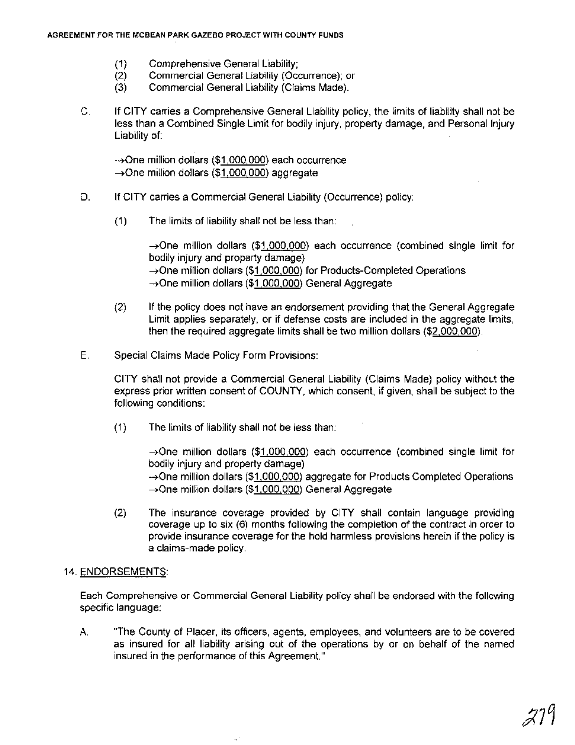- (1) Comprehensive General Liability;
- (2) Commercial General Liability (Occurrence); or
- (3) Commercial General Liability (Claims Made).
- C. If CITY carries a Comprehensive General Liability policy, the limits of liability shall not be less than a Combined Single Limit for bodily injury, property damage, and Personal Injury Liability of: .

~One million dollars (\$1,000,000) each occurrence →One million dollars (\$1,000,000) aggregate

- D. If CITY carries a Commercial General Liability (Occurrence) policy:
	- (1) The limits of liability shall not be less than:

 $\rightarrow$ One million dollars (\$1,000,000) each occurrence (combined single limit for bodily injury and property damage) ~One million dollars (\$1,000,000) for Products-Completed Operations ~One million dollars (\$1,000,000) General Aggregate

- (2) If the policy does not have an endorsement providing that the General Aggregate Limit applies separately, or if defense costs are included in the aggregate limits, then the required aggregate limits shall be two million dollars (\$2,000,000).
- E. Special Claims Made Policy Form Provisions:

CITY shall not provide a Commercial General Liability (Claims Made) policy without the express prior written consent of COUNTY, which consent, if given, shall be subject to the following conditions:

(1) The limits of liability shall not be less than:

U,

->One million dollars (\$1,000,000) each occurrence (combined single limit for bodily injury and property damage)

~One million dollars (\$1,000,000) aggregate for Products Completed Operations →One million dollars (\$1,000,000) General Aggregate

(2) The insurance coverage provided by CITY shall contain language providing coverage up to six (6) months following the completion of the contract in order to provide insurance coverage for the hold harmless provisions herein if the policy is a claims-made policy.

## 14. ENDORSEMENTS:

Each Comprehensive or Commercial General Liability policy shall be endorsed with the following specific language:

A. "The County of Placer, its officers, agents, employees, and volunteers are to be covered as insured for all liability arising out of the operations by or on behalf of the named insured in the performance of this Agreement."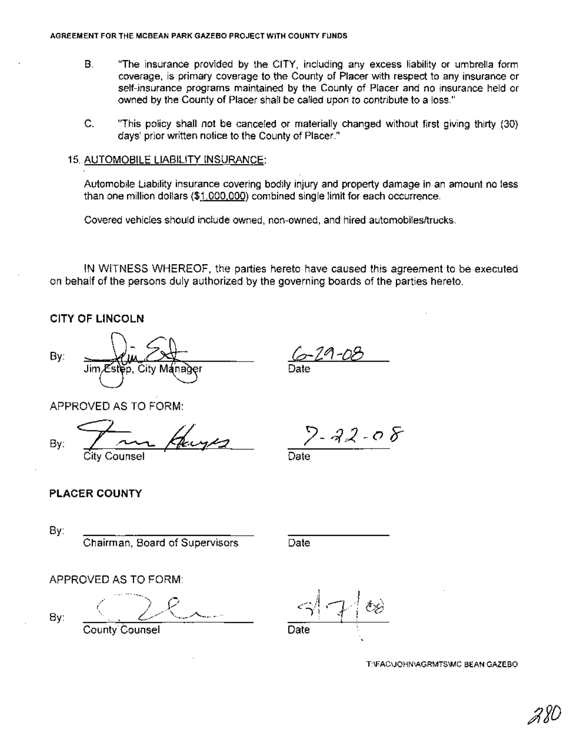- B. limThe insurance provided by the CITY, including any excess liability or umbrella form coverage, is primary coverage to the County of Placer with respect to any insurance or self-insurance programs maintained by the County of Placer and no insurance held or owned by the County of Placer shall be called upon to contribute to a loss."
- C. "This policy shall not be canceled or materially changed without first giving thirty (30) days' prior written notice to the County of Placer."

#### 15. AUTOMOBILE LIABILITY INSURANCE:

Automobile Liability insurance covering bodily injury and property damage in an amount no less than one million dollars (\$1,000,000) combined single limit for each occurrence.

Covered vehicles should include owned, non-owned, and hired automobiles/trucks.

IN WITNESS WHEREOF, the parties hereto have caused this agreement to be executed on behalf of the persons duly authorized by the governing boards of the parties hereto.

**CITY OF LINCOLN**

By:

Jim r

&-Z~-D8 Date

APPROVED AS TO FORM:

By: Pour Henry City Counsel <sup>t</sup>

 $2 - 22 - 08$ 

Date

# **PLACER COUNTY**

By:

Chairman, Board of Supervisors Date

APPROVED AS TO FORM:

By:

County Counsel

T:\FAC\JOHNIAGRMTS\MC BEAN GAZEBO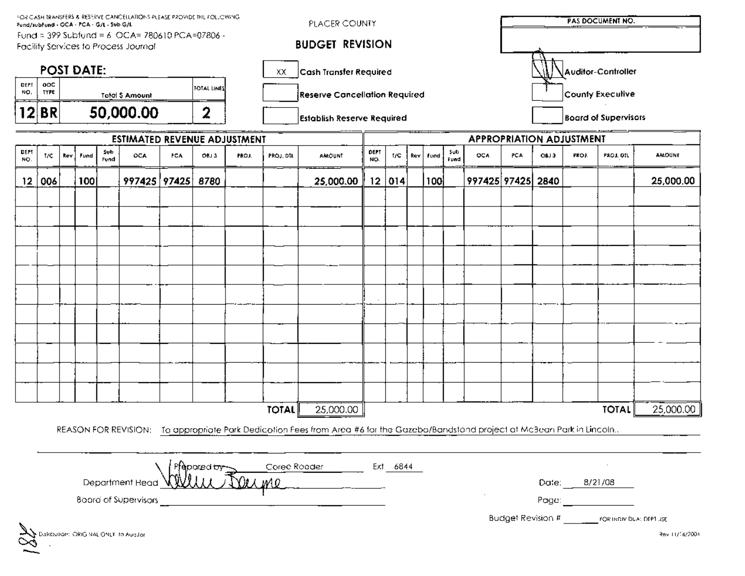| FOR CASH TRANSFERS & RESERVE CANCELLATIONS PLEASE PROVIDE THE FOLLOWING.<br>Fund/subFund - OCA - PCA - G/L - Sub G/L |                                                      |  |     |  |                                     |           |                                                                          | PLACER COUNTY                     |                                      |                                                                                                                                  |                          |          |                             |     |                                             |                   | <b>PAS DOCUMENT NO.</b> |  |  |                                          |                |  |
|----------------------------------------------------------------------------------------------------------------------|------------------------------------------------------|--|-----|--|-------------------------------------|-----------|--------------------------------------------------------------------------|-----------------------------------|--------------------------------------|----------------------------------------------------------------------------------------------------------------------------------|--------------------------|----------|-----------------------------|-----|---------------------------------------------|-------------------|-------------------------|--|--|------------------------------------------|----------------|--|
| Fund = 399 Subfund = 6 OCA= 780610 PCA=07806 -<br>Facility Services to Process Journal                               |                                                      |  |     |  |                                     |           |                                                                          |                                   | <b>BUDGET REVISION</b>               |                                                                                                                                  |                          |          |                             |     |                                             |                   |                         |  |  |                                          |                |  |
| <b>POST DATE:</b>                                                                                                    |                                                      |  |     |  |                                     |           | XX.                                                                      | Cash Transfer Required            |                                      |                                                                                                                                  | Auditor-Controller       |          |                             |     |                                             |                   |                         |  |  |                                          |                |  |
| <b>DEPT</b><br>NO.                                                                                                   | ooc<br>FOTAL LINES<br>TYPE<br><b>Total \$ Amount</b> |  |     |  |                                     |           |                                                                          |                                   | <b>Reserve Cancellation Required</b> |                                                                                                                                  |                          |          | County Execulive            |     |                                             |                   |                         |  |  |                                          |                |  |
| 12<br>BR<br>50,000.00<br>2                                                                                           |                                                      |  |     |  |                                     |           |                                                                          | <b>Establish Reserve Required</b> |                                      |                                                                                                                                  |                          |          | <b>Board of Supervisors</b> |     |                                             |                   |                         |  |  |                                          |                |  |
|                                                                                                                      |                                                      |  |     |  | <b>ESTIMATED REVENUE ADJUSTMENT</b> |           |                                                                          |                                   |                                      |                                                                                                                                  | APPROPRIATION ADJUSTMENT |          |                             |     |                                             |                   |                         |  |  |                                          |                |  |
| DEPI<br>Sub<br>OCA<br>OBJ 3<br>T/C<br>kev<br>Fund<br>PCA<br>Fund<br>NO.                                              |                                                      |  |     |  | PROJ.                               | PROJ, DTL | DEPT<br>Şub<br>OCA<br>1/C<br>Fund<br><b>AMOUNT</b><br>Rev<br>NO.<br>Fund |                                   |                                      |                                                                                                                                  |                          |          |                             | P¢A | PROJ. OIL<br><b>AMOUNT</b><br>OBJ3<br>PROJ. |                   |                         |  |  |                                          |                |  |
| $12 \,$                                                                                                              | 006                                                  |  | 100 |  | 997425 97425 8780                   |           |                                                                          |                                   |                                      | 25,000.00                                                                                                                        |                          | 12   014 |                             | 100 |                                             | 997425 97425 2840 |                         |  |  |                                          | 25,000.00      |  |
|                                                                                                                      |                                                      |  |     |  |                                     |           |                                                                          |                                   |                                      |                                                                                                                                  |                          |          |                             |     |                                             |                   |                         |  |  |                                          |                |  |
|                                                                                                                      |                                                      |  |     |  |                                     |           |                                                                          |                                   |                                      |                                                                                                                                  |                          |          |                             |     |                                             |                   |                         |  |  |                                          |                |  |
|                                                                                                                      |                                                      |  |     |  |                                     |           |                                                                          |                                   |                                      |                                                                                                                                  |                          |          |                             |     |                                             |                   |                         |  |  |                                          |                |  |
|                                                                                                                      |                                                      |  |     |  |                                     |           |                                                                          |                                   |                                      |                                                                                                                                  |                          |          |                             |     |                                             |                   |                         |  |  |                                          |                |  |
|                                                                                                                      |                                                      |  |     |  |                                     |           |                                                                          |                                   |                                      |                                                                                                                                  |                          |          |                             |     |                                             |                   |                         |  |  |                                          |                |  |
|                                                                                                                      |                                                      |  |     |  |                                     |           |                                                                          |                                   |                                      |                                                                                                                                  |                          |          |                             |     |                                             |                   |                         |  |  |                                          |                |  |
|                                                                                                                      |                                                      |  |     |  |                                     |           |                                                                          |                                   |                                      |                                                                                                                                  |                          |          |                             |     |                                             |                   |                         |  |  |                                          |                |  |
|                                                                                                                      |                                                      |  |     |  |                                     |           |                                                                          |                                   |                                      |                                                                                                                                  |                          |          |                             |     |                                             |                   |                         |  |  |                                          |                |  |
|                                                                                                                      |                                                      |  |     |  |                                     |           |                                                                          |                                   |                                      |                                                                                                                                  |                          |          |                             |     |                                             |                   |                         |  |  |                                          |                |  |
|                                                                                                                      |                                                      |  |     |  |                                     |           |                                                                          |                                   |                                      |                                                                                                                                  |                          |          |                             |     |                                             |                   |                         |  |  |                                          |                |  |
|                                                                                                                      |                                                      |  |     |  |                                     |           |                                                                          |                                   |                                      |                                                                                                                                  |                          |          |                             |     |                                             |                   |                         |  |  |                                          |                |  |
|                                                                                                                      |                                                      |  |     |  |                                     |           |                                                                          |                                   | <b>TOTAL</b>                         | 25,000.00                                                                                                                        |                          |          |                             |     |                                             |                   |                         |  |  | <b>TOTAL</b>                             | 25,000.00      |  |
|                                                                                                                      |                                                      |  |     |  |                                     |           |                                                                          |                                   |                                      |                                                                                                                                  |                          |          |                             |     |                                             |                   |                         |  |  |                                          |                |  |
|                                                                                                                      |                                                      |  |     |  |                                     |           |                                                                          |                                   |                                      | REASON FOR REVISION: To appropriate Park Dedicotion Fees from Area #6 for the Gazebo/Bandstand project at Mc3ean Park in Lincoln |                          |          |                             |     |                                             |                   |                         |  |  |                                          |                |  |
|                                                                                                                      |                                                      |  |     |  |                                     |           | fepored <del>by</del>                                                    |                                   |                                      | Coree Roader                                                                                                                     |                          | Ext 6844 |                             |     |                                             |                   |                         |  |  |                                          |                |  |
| Department Read<br>M0.                                                                                               |                                                      |  |     |  |                                     |           |                                                                          |                                   |                                      |                                                                                                                                  |                          |          |                             |     | Date:                                       |                   | 8/21/08                 |  |  |                                          |                |  |
| Board of Supervisors                                                                                                 |                                                      |  |     |  |                                     |           |                                                                          |                                   |                                      |                                                                                                                                  |                          |          |                             |     | Page:                                       |                   |                         |  |  |                                          |                |  |
|                                                                                                                      |                                                      |  |     |  |                                     |           |                                                                          |                                   |                                      |                                                                                                                                  |                          |          |                             |     |                                             |                   |                         |  |  | Budget Revision # FORTADIV DLA: DEPT USE |                |  |
|                                                                                                                      |                                                      |  |     |  | alabution: ORIG NAL ONLY To Augulor |           |                                                                          |                                   |                                      |                                                                                                                                  |                          |          |                             |     |                                             |                   |                         |  |  |                                          | Rev 11/16/2004 |  |
|                                                                                                                      |                                                      |  |     |  |                                     |           |                                                                          |                                   |                                      |                                                                                                                                  |                          |          |                             |     |                                             |                   |                         |  |  |                                          |                |  |